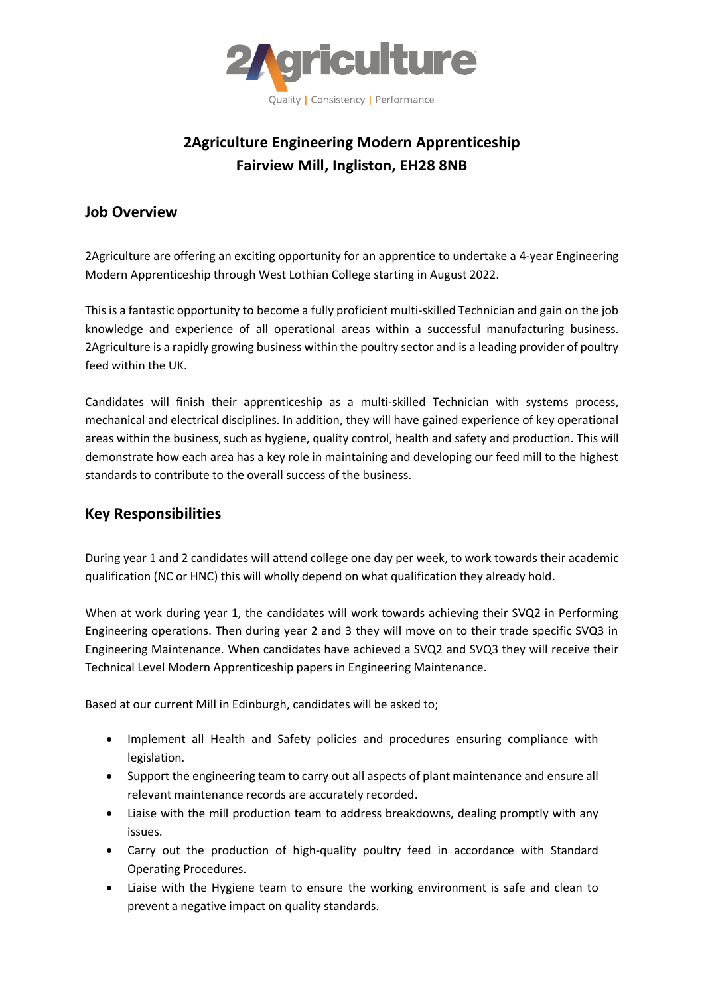

## **2Agriculture Engineering Modern Apprenticeship Fairview Mill, Ingliston, EH28 8NB**

## **Job Overview**

2Agriculture are offering an exciting opportunity for an apprentice to undertake a 4-year Engineering Modern Apprenticeship through West Lothian College starting in August 2022.

This is a fantastic opportunity to become a fully proficient multi-skilled Technician and gain on the job knowledge and experience of all operational areas within a successful manufacturing business. 2Agriculture is a rapidly growing business within the poultry sector and is a leading provider of poultry feed within the UK.

Candidates will finish their apprenticeship as a multi-skilled Technician with systems process, mechanical and electrical disciplines. In addition, they will have gained experience of key operational areas within the business, such as hygiene, quality control, health and safety and production. This will demonstrate how each area has a key role in maintaining and developing our feed mill to the highest standards to contribute to the overall success of the business.

## **Key Responsibilities**

During year 1 and 2 candidates will attend college one day per week, to work towards their academic qualification (NC or HNC) this will wholly depend on what qualification they already hold.

When at work during year 1, the candidates will work towards achieving their SVQ2 in Performing Engineering operations. Then during year 2 and 3 they will move on to their trade specific SVQ3 in Engineering Maintenance. When candidates have achieved a SVQ2 and SVQ3 they will receive their Technical Level Modern Apprenticeship papers in Engineering Maintenance.

Based at our current Mill in Edinburgh, candidates will be asked to;

- Implement all Health and Safety policies and procedures ensuring compliance with legislation.
- Support the engineering team to carry out all aspects of plant maintenance and ensure all relevant maintenance records are accurately recorded.
- Liaise with the mill production team to address breakdowns, dealing promptly with any issues.
- Carry out the production of high-quality poultry feed in accordance with Standard Operating Procedures.
- Liaise with the Hygiene team to ensure the working environment is safe and clean to prevent a negative impact on quality standards.